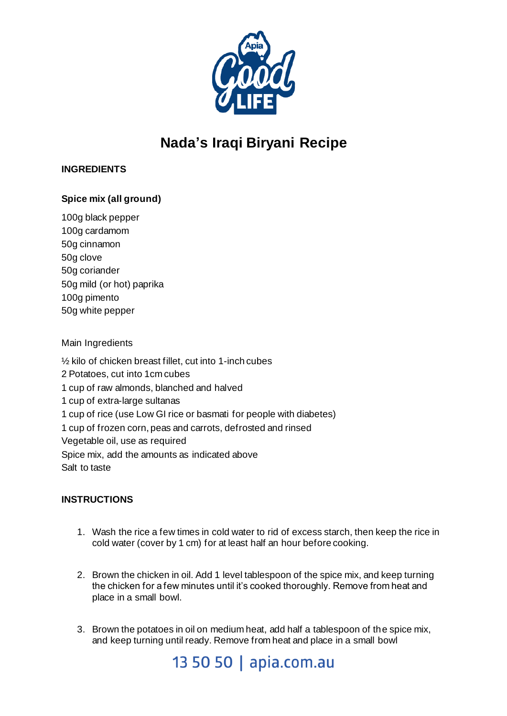

# **Nada's Iraqi Biryani Recipe**

### **INGREDIENTS**

## **Spice mix (all ground)**

100g black pepper 100g cardamom 50g cinnamon 50g clove 50g coriander 50g mild (or hot) paprika 100g pimento 50g white pepper

#### Main Ingredients

½ kilo of chicken breast fillet, cut into 1-inch cubes 2 Potatoes, cut into 1cm cubes 1 cup of raw almonds, blanched and halved 1 cup of extra-large sultanas 1 cup of rice (use Low GI rice or basmati for people with diabetes) 1 cup of frozen corn, peas and carrots, defrosted and rinsed Vegetable oil, use as required Spice mix, add the amounts as indicated above Salt to taste

### **INSTRUCTIONS**

- 1. Wash the rice a few times in cold water to rid of excess starch, then keep the rice in cold water (cover by 1 cm) for at least half an hour before cooking.
- 2. Brown the chicken in oil. Add 1 level tablespoon of the spice mix, and keep turning the chicken for a few minutes until it's cooked thoroughly. Remove from heat and place in a small bowl.
- 3. Brown the potatoes in oil on medium heat, add half a tablespoon of the spice mix, and keep turning until ready. Remove from heat and place in a small bowl